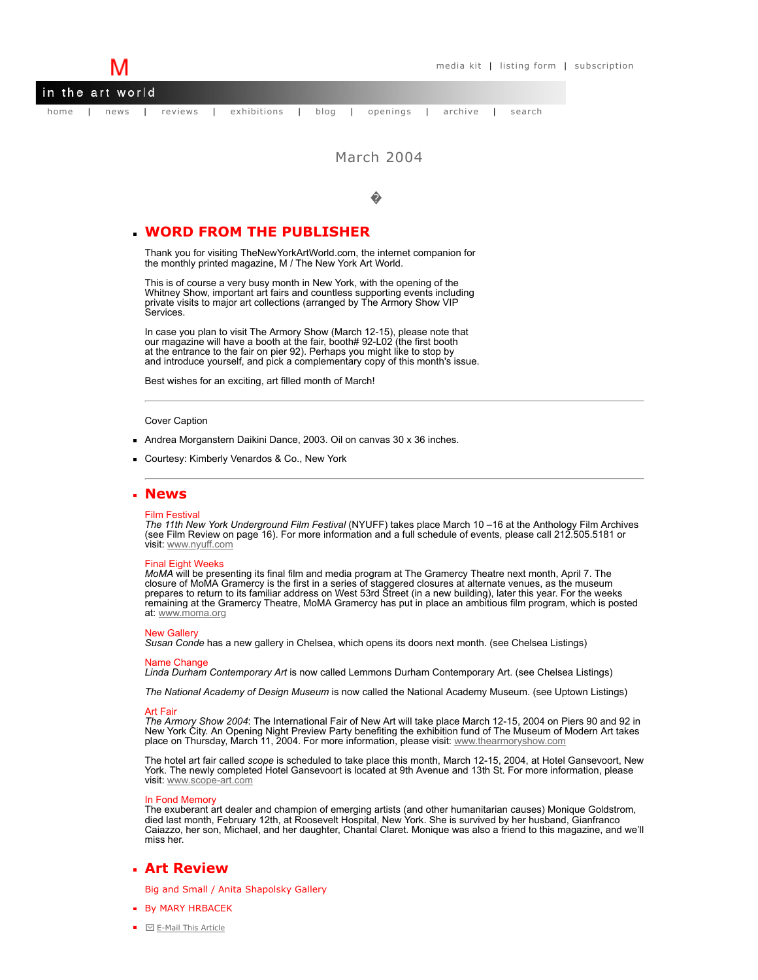

# March 2004

�

# **WORD FROM THE PUBLISHER**

Thank you for visiting TheNewYorkArtWorld.com, the internet companion for the monthly printed magazine, M / The New York Art World.

This is of course a very busy month in New York, with the opening of the Whitney Show, important art fairs and countless supporting events including private visits to major art collections (arranged by The Armory Show VIP Services.

In case you plan to visit The Armory Show (March 12-15), please note that our magazine will have a booth at the fair, booth# 92-L02 (the first booth at the entrance to the fair on pier 92). Perhaps you might like to stop by and introduce yourself, and pick a complementary copy of this month's issue.

Best wishes for an exciting, art filled month of March!

## Cover Caption

- Andrea Morganstern Daikini Dance, 2003. Oil on canvas 30 x 36 inches.
- **Courtesy: Kimberly Venardos & Co., New York**

## **News**

### Film Festival

*The 11th New York Underground Film Festival* (NYUFF) takes place March 10 –16 at the Anthology Film Archives (see Film Review on page 16). For more information and a full schedule of events, please call 212.505.5181 or visit: [www.nyuff.com](http://www.nyuff.com/)

## Final Eight Weeks

*MoMA* will be presenting its final film and media program at The Gramercy Theatre next month, April 7. The closure of MoMA Gramercy is the first in a series of staggered closures at alternate venues, as the museum prepares to return to its familiar address on West 53rd Street (in a new building), later this year. For the weeks remaining at the Gramercy Theatre, MoMA Gramercy has put in place an ambitious film program, which is posted at: [www.moma.org](http://www.moma.org/)

### **New Gallery**

*Susan Conde* has a new gallery in Chelsea, which opens its doors next month. (see Chelsea Listings)

Name Change *Linda Durham Contemporary Art* is now called Lemmons Durham Contemporary Art. (see Chelsea Listings)

*The National Academy of Design Museum* is now called the National Academy Museum. (see Uptown Listings)

<mark>Art Fair</mark><br>*The Armory Show 2004*: The International Fair of New Art will take place March 12-15, 2004 on Piers 90 and 92 in<br>New York City. An Opening Night Preview Party benefiting the exhibition fund of The Museum of Mod New York City. An Opening Night Preview Party benefiting the exhibition fund of The Museum of Modern Art takes<br>place on Thursday, March 11, 2004. For more information, please visit: [www.thearmoryshow.com](http://www.thearmoryshow.com/index2.php)

The hotel art fair called *scope* is scheduled to take place this month, March 12-15, 2004, at Hotel Gansevoort, New York. The newly completed Hotel Gansevoort is located at 9th Avenue and 13th St. For more information, please visit: [www.scope-art.com](http://www.scope-art.com/)

## In Fond Memory

The exuberant art dealer and champion of emerging artists (and other humanitarian causes) Monique Goldstrom, died last month, February 12th, at Roosevelt Hospital, New York. She is survived by her husband, Gianfranco Caiazzo, her son, Michael, and her daughter, Chantal Claret. Monique was also a friend to this magazine, and we'll miss her.

## **Art Review**

Big and Small / Anita Shapolsky Gallery

- **By MARY HRBACEK**
- $\blacksquare$   $\blacksquare$  [E-Mail This Article](http://www.thenewyorkartworld.com/forms/send_article.php?article_title=March%20article)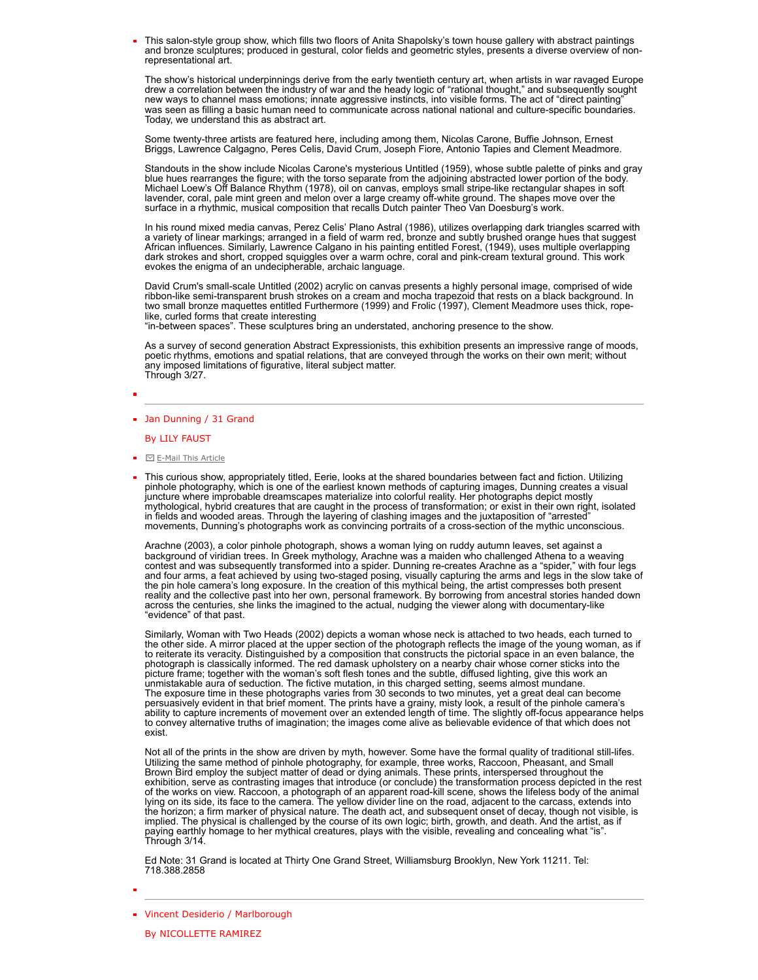This salon-style group show, which fills two floors of Anita Shapolsky's town house gallery with abstract paintings and bronze sculptures; produced in gestural, color fields and geometric styles, presents a diverse overview of nonrepresentational art.

The show's historical underpinnings derive from the early twentieth century art, when artists in war ravaged Europe drew a correlation between the industry of war and the heady logic of "rational thought," and subsequently sought<br>new ways to channel mass emotions; innate aggressive instincts, into visible forms. The act of "direct paint was seen as filling a basic human need to communicate across national national and culture-specific boundaries. Today, we understand this as abstract art.

Some twenty-three artists are featured here, including among them, Nicolas Carone, Buffie Johnson, Ernest Briggs, Lawrence Calgagno, Peres Celis, David Crum, Joseph Fiore, Antonio Tapies and Clement Meadmore.

Standouts in the show include Nicolas Carone's mysterious Untitled (1959), whose subtle palette of pinks and gray blue hues rearranges the figure; with the torso separate from the adjoining abstracted lower portion of the body. Michael Loew's Off Balance Rhythm (1978), oil on canvas, employs small stripe-like rectangular shapes in soft lavender, coral, pale mint green and melon over a large creamy off-white ground. The shapes move over the surface in a rhythmic, musical composition that recalls Dutch painter Theo Van Doesburg's work.

In his round mixed media canvas, Perez Celis' Plano Astral (1986), utilizes overlapping dark triangles scarred with a variety of linear markings; arranged in a field of warm red, bronze and subtly brushed orange hues that suggest African influences. Similarly, Lawrence Calgano in his painting entitled Forest, (1949), uses multiple overlapping dark strokes and short, cropped squiggles over a warm ochre, coral and pink-cream textural ground. This work evokes the enigma of an undecipherable, archaic language.

David Crum's small-scale Untitled (2002) acrylic on canvas presents a highly personal image, comprised of wide ribbon-like semi-transparent brush strokes on a cream and mocha trapezoid that rests on a black background. In two small bronze maquettes entitled Furthermore (1999) and Frolic (1997), Clement Meadmore uses thick, ropelike, curled forms that create interesting

"in-between spaces". These sculptures bring an understated, anchoring presence to the show.

As a survey of second generation Abstract Expressionists, this exhibition presents an impressive range of moods, poetic rhythms, emotions and spatial relations, that are conveyed through the works on their own merit; without any imposed limitations of figurative, literal subject matter. Through 3/27.

- 
- **Jan Dunning / 31 Grand**

## By LILY FAUST

- $\blacksquare$   $\square$  [E-Mail This Article](http://www.thenewyorkartworld.com/forms/send_article.php?article_title=March%20article)
- This curious show, appropriately titled, Eerie, looks at the shared boundaries between fact and fiction. Utilizing pinhole photography, which is one of the earliest known methods of capturing images, Dunning creates a visual juncture where improbable dreamscapes materialize into colorful reality. Her photographs depict mostly mythological, hybrid creatures that are caught in the process of transformation; or exist in their own right, isolated in fields and wooded areas. Through the layering of clashing images and the juxtaposition of "arrested" movements, Dunning's photographs work as convincing portraits of a cross-section of the mythic unconscious.

Arachne (2003), a color pinhole photograph, shows a woman lying on ruddy autumn leaves, set against a background of viridian trees. In Greek mythology, Arachne was a maiden who challenged Athena to a weaving contest and was subsequently transformed into a spider. Dunning re-creates Arachne as a "spider," with four legs and four arms, a feat achieved by using two-staged posing, visually capturing the arms and legs in the slow take of<br>the pin hole camera's long exposure. In the creation of this mythical being, the artist compresses both pr reality and the collective past into her own, personal framework. By borrowing from ancestral stories handed down across the centuries, she links the imagined to the actual, nudging the viewer along with documentary-like "evidence" of that past.

Similarly, Woman with Two Heads (2002) depicts a woman whose neck is attached to two heads, each turned to the other side. A mirror placed at the upper section of the photograph reflects the image of the young woman, as if to reiterate its veracity. Distinguished by a composition that constructs the pictorial space in an even balance, the<br>photograph is classically informed. The red damask upholstery on a nearby chair whose corner sticks into picture frame; together with the woman's soft flesh tones and the subtle, diffused lighting, give this work an<br>unmistakable aura of seduction. The fictive mutation, in this charged setting, seems almost mundane.<br>The exposu persuasively evident in that brief moment. The prints have a grainy, misty look, a result of the pinhole camera's<br>ability to capture increments of movement over an extended length of time. The slightly off-focus appearance to convey alternative truths of imagination; the images come alive as believable evidence of that which does not exist.

Not all of the prints in the show are driven by myth, however. Some have the formal quality of traditional still-lifes. Utilizing the same method of pinhole photography, for example, three works, Raccoon, Pheasant, and Small Brown Bird employ the subject matter of dead or dying animals. These prints, interspersed throughout the exhibition, serve as contrasting images that introduce (or conclude) the transformation process depicted in the rest of the works on view. Raccoon, a photograph of an apparent road-kill scene, shows the lifeless body of the animal<br>lying on its side, its face to the camera. The yellow divider line on the road, adjacent to the carcass, ext the horizon; a firm marker of physical nature. The death act, and subsequent onset of decay, though not visible, is implied. The physical is challenged by the course of its own logic; birth, growth, and death. And the artist, as if<br>paying earthly homage to her mythical creatures, plays with the visible, revealing and concealing what "is

Ed Note: 31 Grand is located at Thirty One Grand Street, Williamsburg Brooklyn, New York 11211. Tel: 718.388.2858

**Vincent Desiderio / Marlborough**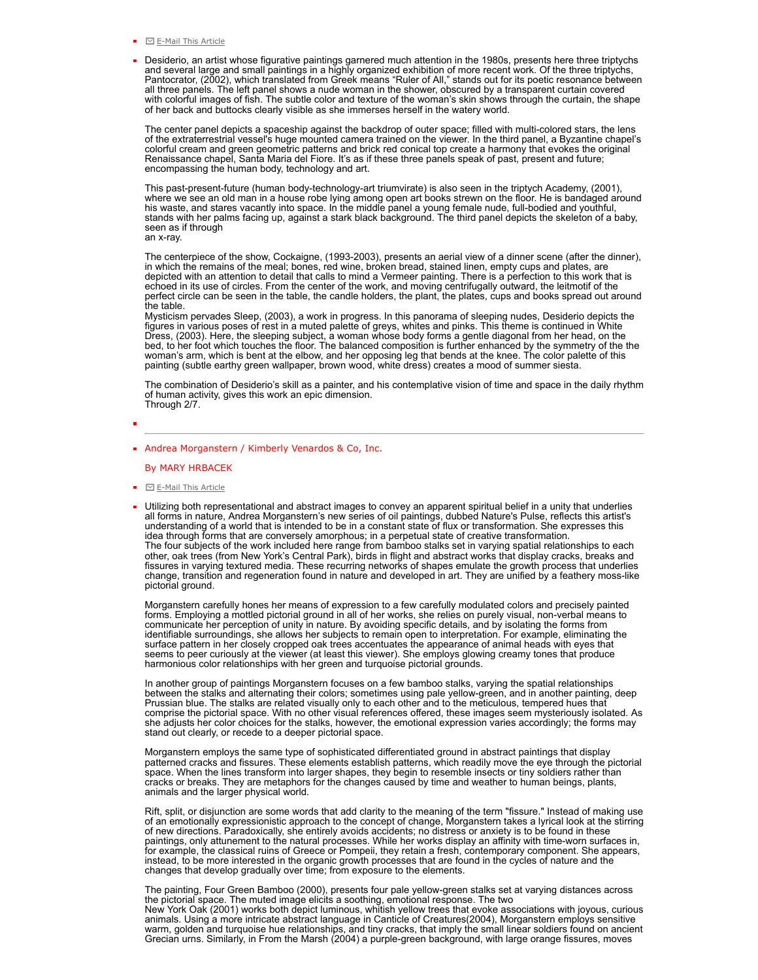- $\blacksquare$   $\blacksquare$  [E-Mail This Article](http://themmag.com/forms/send_article.php?article_title=March%20article)
- Desiderio, an artist whose figurative paintings garnered much attention in the 1980s, presents here three triptychs<br>and several large and small paintings in a highly organized exhibition of more recent work. Of the three t all three panels. The left panel shows a nude woman in the shower, obscured by a transparent curtain covered with colorful images of fish. The subtle color and texture of the woman's skin shows through the curtain, the shape of her back and buttocks clearly visible as she immerses herself in the watery world.

The center panel depicts a spaceship against the backdrop of outer space; filled with multi-colored stars, the lens of the extraterrestrial vessel's huge mounted camera trained on the viewer. In the third panel, a Byzantine chapel's colorful cream and green geometric patterns and brick red conical top create a harmony that evokes the original Renaissance chapel, Santa Maria del Fiore. It's as if these three panels speak of past, present and future; encompassing the human body, technology and art.

This past-present-future (human body-technology-art triumvirate) is also seen in the triptych Academy, (2001), where we see an old man in a house robe lying among open art books strewn on the floor. He is bandaged around his waste, and stares vacantly into space. In the middle panel a young female nude, full-bodied and youthful, stands with her palms facing up, against a stark black background. The third panel depicts the skeleton of a baby, seen as if through an x-ray.

The centerpiece of the show, Cockaigne, (1993-2003), presents an aerial view of a dinner scene (after the dinner), in which the remains of the meal; bones, red wine, broken bread, stained linen, empty cups and plates, are depicted with an attention to detail that calls to mind a Vermeer painting. There is a perfection to this work that is echoed in its use of circles. From the center of the work, and moving centrifugally outward, the leitmotif of the perfect circle can be seen in the table, the candle holders, the plant, the plates, cups and books spread out around the table.

Mysticism pervades Sleep, (2003), a work in progress. In this panorama of sleeping nudes, Desiderio depicts the figures in various poses of rest in a muted palette of greys, whites and pinks. This theme is continued in White Dress, (2003). Here, the sleeping subject, a woman whose body forms a gentle diagonal from her head, on the bed, to her foot which touches the floor. The balanced composition is further enhanced by the symmetry of the the woman's arm, which is bent at the elbow, and her opposing leg that bends at the knee. The color palette of this painting (subtle earthy green wallpaper, brown wood, white dress) creates a mood of summer siesta.

The combination of Desiderio's skill as a painter, and his contemplative vision of time and space in the daily rhythm of human activity, gives this work an epic dimension. Through 2/7.

## Andrea Morganstern / Kimberly Venardos & Co, Inc.

## By MARY HRBACEK

- $\blacksquare$   $\blacksquare$  [E-Mail This Article](http://themmag.com/forms/send_article.php?article_title=March%20article)
- Utilizing both representational and abstract images to convey an apparent spiritual belief in a unity that underlies all forms in nature, Andrea Morganstern's new series of oil paintings, dubbed Nature's Pulse, reflects this artist's<br>understanding of a world that is intended to be in a constant state of flux or transformation. She expres idea through forms that are conversely amorphous; in a perpetual state of creative transformation. The four subjects of the work included here range from bamboo stalks set in varying spatial relationships to each<br>other, oak trees (from New York's Central Park), birds in flight and abstract works that display cracks, bre change, transition and regeneration found in nature and developed in art. They are unified by a feathery moss-like pictorial ground.

Morganstern carefully hones her means of expression to a few carefully modulated colors and precisely painted forms. Employing a mottled pictorial ground in all of her works, she relies on purely visual, non-verbal means to communicate her perception of unity in nature. By avoiding specific details, and by isolating the forms from<br>identifiable surroundings, she allows her subjects to remain open to interpretation. For example, eliminating the seems to peer curiously at the viewer (at least this viewer). She employs glowing creamy tones that produce harmonious color relationships with her green and turquoise pictorial grounds.

In another group of paintings Morganstern focuses on a few bamboo stalks, varying the spatial relationships<br>between the stalks and alternating their colors; sometimes using pale yellow-green, and in another painting, deep<br> she adjusts her color choices for the stalks, however, the emotional expression varies accordingly; the forms may stand out clearly, or recede to a deeper pictorial space.

Morganstern employs the same type of sophisticated differentiated ground in abstract paintings that display<br>patterned cracks and fissures. These elements establish patterns, which readily move the eye through the pictorial animals and the larger physical world.

Rift, split, or disjunction are some words that add clarity to the meaning of the term "fissure." Instead of making use of an emotionally expressionistic approach to the concept of change, Morganstern takes a lyrical look at the stirring<br>of new directions. Paradoxically, she entirely avoids accidents; no distress or anxiety is to be found i changes that develop gradually over time; from exposure to the elements.

The painting, Four Green Bamboo (2000), presents four pale yellow-green stalks set at varying distances across the pictorial space. The muted image elicits a soothing, emotional response. The two New York Oak (2001) works both depict luminous, whi̇̃tish yellow trees that evoke associations with joyous, curious<br>animals. Using a more intricate abstract language in Canticle of Creatures(2004), Morganstern employs sens Grecian urns. Similarly, in From the Marsh (2004) a purple-green background, with large orange fissures, moves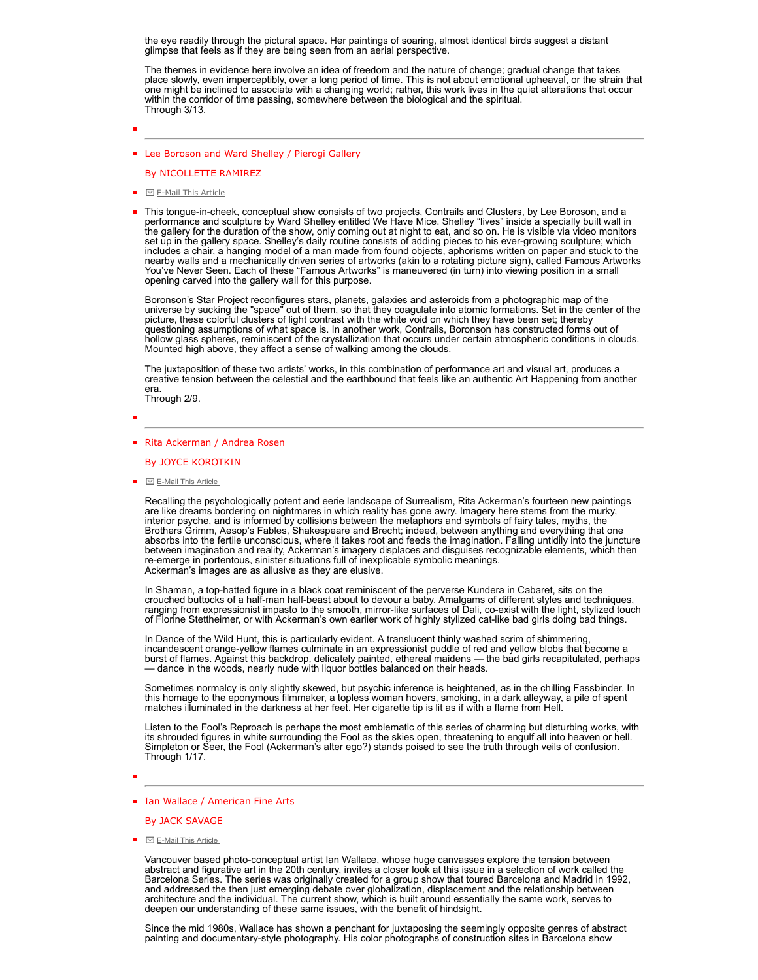the eye readily through the pictural space. Her paintings of soaring, almost identical birds suggest a distant glimpse that feels as if they are being seen from an aerial perspective.

The themes in evidence here involve an idea of freedom and the nature of change; gradual change that takes place slowly, even imperceptibly, over a long period of time. This is not about emotional upheaval, or the strain that one might be inclined to associate with a changing world; rather, this work lives in the quiet alterations that occur within the corridor of time passing, somewhere between the biological and the spiritual. Through 3/13.

**Example 2** Lee Boroson and Ward Shelley / Pierogi Gallery

By NICOLLETTE RAMIREZ

- $\blacksquare$   $\blacksquare$  [E-Mail This Article](http://themmag.com/forms/send_article.php?article_title=March%20article)
- This tongue-in-cheek, conceptual show consists of two projects, Contrails and Clusters, by Lee Boroson, and a performance and sculpture by Ward Shelley entitled We Have Mice. Shelley "lives" inside a specially built wall in the gallery for the duration of the show, only coming out at night to eat, and so on. He is visible via video monitors set up in the gallery space. Shelley's daily routine consists of adding pieces to his ever-growing sculpture; which includes a chair, a hanging model of a man made from found objects, aphorisms written on paper and stuck to the nearby walls and a mechanically driven series of artworks (akin to a rotating picture sign), called Famous Artworks You've Never Seen. Each of these "Famous Artworks" is maneuvered (in turn) into viewing position in a small opening carved into the gallery wall for this purpose.

Boronson's Star Project reconfigures stars, planets, galaxies and asteroids from a photographic map of the universe by sucking the "space" out of them, so that they coagulate into atomic formations. Set in the center of the picture, these colorful clusters of light contrast with the white void on which they have been set; thereby questioning assumptions of what space is. In another work, Contrails, Boronson has constructed forms out of hollow glass spheres, reminiscent of the crystallization that occurs under certain atmospheric conditions in clouds. Mounted high above, they affect a sense of walking among the clouds.

The juxtaposition of these two artists' works, in this combination of performance art and visual art, produces a creative tension between the celestial and the earthbound that feels like an authentic Art Happening from another era. Through 2/9.

## ■ Rita Ackerman / Andrea Rosen

By JOYCE KOROTKIN

 $\blacksquare$   $\blacksquare$  E-Mail This Article

Recalling the psychologically potent and eerie landscape of Surrealism, Rita Ackerman's fourteen new paintings are like dreams bordering on nightmares in which reality has gone awry. Imagery here stems from the murky,<br>interior psyche, and is informed by collisions between the metaphors and symbols of fairy tales, myths, the<br>Brother absorbs into the fertile unconscious, where it takes root and feeds the imagination. Falling untidily into the juncture between imagination and reality, Ackerman's imagery displaces and disguises recognizable elements, which then re-emerge in portentous, sinister situations full of inexplicable symbolic meanings. Ackerman's images are as allusive as they are elusive.

In Shaman, a top-hatted figure in a black coat reminiscent of the perverse Kundera in Cabaret, sits on the crouched buttocks of a half-man half-beast about to devour a baby. Amalgams of different styles and techniques,<br>ranging from expressionist impasto to the smooth, mirror-like surfaces of Dali, co-exist with the light, styli of Florine Stettheimer, or with Ackerman's own earlier work of highly stylized cat-like bad girls doing bad things.

In Dance of the Wild Hunt, this is particularly evident. A translucent thinly washed scrim of shimmering, incandescent orange-yellow flames culminate in an expressionist puddle of red and yellow blobs that become a burst of flames. Against this backdrop, delicately painted, ethereal maidens — the bad girls recapitulated, perhaps — dance in the woods, nearly nude with liquor bottles balanced on their heads.

Sometimes normalcy is only slightly skewed, but psychic inference is heightened, as in the chilling Fassbinder. In this homage to the eponymous filmmaker, a topless woman hovers, smoking, in a dark alleyway, a pile of spent<br>matches illuminated in the darkness at her feet. Her cigarette tip is lit as if with a flame from Hell.

Listen to the Fool's Reproach is perhaps the most emblematic of this series of charming but disturbing works, with its shrouded figures in white surrounding the Fool as the skies open, threatening to engulf all into heaven or hell. Simpleton or Seer, the Fool (Ackerman's alter ego?) stands poised to see the truth through veils of confusion. Through 1/17.

In Vallace / American Fine Arts

By JACK SAVAGE

 $\blacksquare$   $\blacksquare$  E-Mail This Article

Vancouver based photo-conceptual artist Ian Wallace, whose huge canvasses explore the tension between abstract and figurative art in the 20th century, invites a closer look at this issue in a selection of work called the<br>Barcelona Series. The series was originally created for a group show that toured Barcelona and Madrid i

Since the mid 1980s, Wallace has shown a penchant for juxtaposing the seemingly opposite genres of abstract painting and documentary-style photography. His color photographs of construction sites in Barcelona show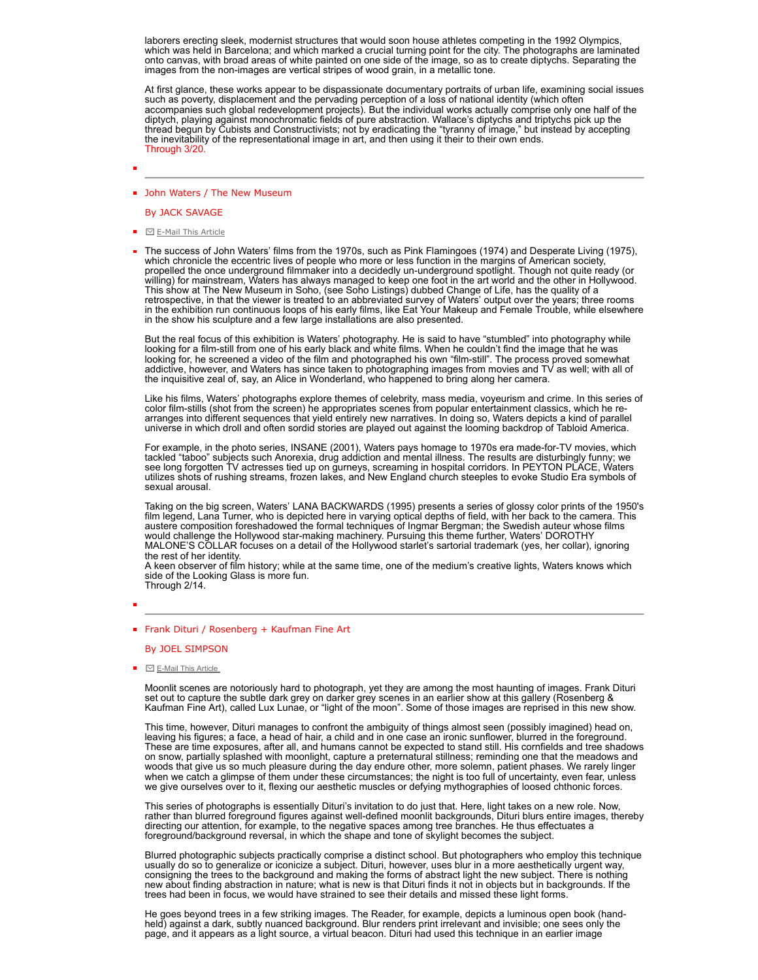laborers erecting sleek, modernist structures that would soon house athletes competing in the 1992 Olympics, which was held in Barcelona; and which marked a crucial turning point for the city. The photographs are laminated onto canvas, with broad areas of white painted on one side of the image, so as to create diptychs. Separating the images from the non-images are vertical stripes of wood grain, in a metallic tone.

At first glance, these works appear to be dispassionate documentary portraits of urban life, examining social issues such as poverty, displacement and the pervading perception of a loss of national identity (which often<br>accompanies such global redevelopment projects). But the individual works actually comprise only one half of the<br>diptyc the inevitability of the representational image in art, and then using it their to their own ends. Through 3/20.

## **John Waters / The New Museum**

## By JACK SAVAGE

- ⊡ [E-Mail This Article](http://themmag.com/forms/send_article.php?article_title=March%20article)
- The success of John Waters' films from the 1970s, such as Pink Flamingoes (1974) and Desperate Living (1975), which chronicle the eccentric lives of people who more or less function in the margins of American society, propelled the once underground filmmaker into a decidedly un-underground spotlight. Though not quite ready (or willing) for mainstream, Waters has always managed to keep one foot in the art world and the other in Hollywood. This show at The New Museum in Soho, (see Soho Listings) dubbed Change of Life, has the quality of a<br>retrospective, in that the viewer is treated to an abbreviated survey of Waters' output over the years; three rooms in the exhibition run continuous loops of his early films, like Eat Your Makeup and Female Trouble, while elsewhere in the show his sculpture and a few large installations are also presented.

But the real focus of this exhibition is Waters' photography. He is said to have "stumbled" into photography while<br>looking for a film-still from one of his early black and white films. When he couldn't find the image that looking for, he screened a video of the film and photographed his own "film-still". The process proved somewhat addictive, however, and Waters has since taken to photographing images from movies and TV as well; with all of the inquisitive zeal of, say, an Alice in Wonderland, who happened to bring along her camera.

Like his films, Waters' photographs explore themes of celebrity, mass media, voyeurism and crime. In this series of color film-stills (shot from the screen) he appropriates scenes from popular entertainment classics, which he re-<br>arranges into different sequences that yield entirely new narratives. In doing so, Waters depicts a kind of universe in which droll and often sordid stories are played out against the looming backdrop of Tabloid America.

For example, in the photo series, INSANE (2001), Waters pays homage to 1970s era made-for-TV movies, which<br>tackled "taboo" subjects such Anorexia, drug addiction and mental illness. The results are disturbingly funny; we<br>s utilizes shots of rushing streams, frozen lakes, and New England church steeples to evoke Studio Era symbols of sexual arousal.

Taking on the big screen, Waters' LANA BACKWARDS (1995) presents a series of glossy color prints of the 1950's<br>film legend, Lana Turner, who is depicted here in varying optical depths of field, with her back to the camera. the rest of her identity.

A keen observer of film history; while at the same time, one of the medium's creative lights, Waters knows which side of the Looking Glass is more fun. Through 2/14.

- 
- **Frank Dituri / Rosenberg + Kaufman Fine Art**

By JOEL SIMPSON

 $\blacksquare$   $\square$  E-Mail This Article

Moonlit scenes are notoriously hard to photograph, yet they are among the most haunting of images. Frank Dituri set out to capture the subtle dark grey on darker grey scenes in an earlier show at this gallery (Rosenberg & Kaufman Fine Art), called Lux Lunae, or "light of the moon". Some of those images are reprised in this new show.

This time, however, Dituri manages to confront the ambiguity of things almost seen (possibly imagined) head on, leaving his figures; a face, a head of hair, a child and in one case an ironic sunflower, blurred in the foreground. These are time exposures, after all, and humans cannot be expected to stand still. His cornfields and tree shadows on snow, partially splashed with moonlight, capture a preternatural stillness; reminding one that the meadows and woods that give us so much pleasure during the day endure other, more solemn, patient phases. We rarely linger when we catch a glimpse of them under these circumstances; the night is too full of uncertainty, even fear, unless we give ourselves over to it, flexing our aesthetic muscles or defying mythographies of loosed chthonic forces.

This series of photographs is essentially Dituri's invitation to do just that. Here, light takes on a new role. Now, rather than blurred foreground figures against well-defined moonlit backgrounds, Dituri blurs entire images, thereby directing our attention, for example, to the negative spaces among tree branches. He thus effectuates a foreground/background reversal, in which the shape and tone of skylight becomes the subject.

Blurred photographic subjects practically comprise a distinct school. But photographers who employ this technique usually do so to generalize or iconicize a subject. Dituri, however, uses blur in a more aesthetically urgent way, consigning the trees to the background and making the forms of abstract light the new subject. There is nothing new about finding abstraction in nature; what is new is that Dituri finds it not in objects but in backgrounds. If the trees had been in focus, we would have strained to see their details and missed these light forms.

He goes beyond trees in a few striking images. The Reader, for example, depicts a luminous open book (handheld) against a dark, subtly nuanced background. Blur renders print irrelevant and invisible; one sees only the page, and it appears as a light source, a virtual beacon. Dituri had used this technique in an earlier image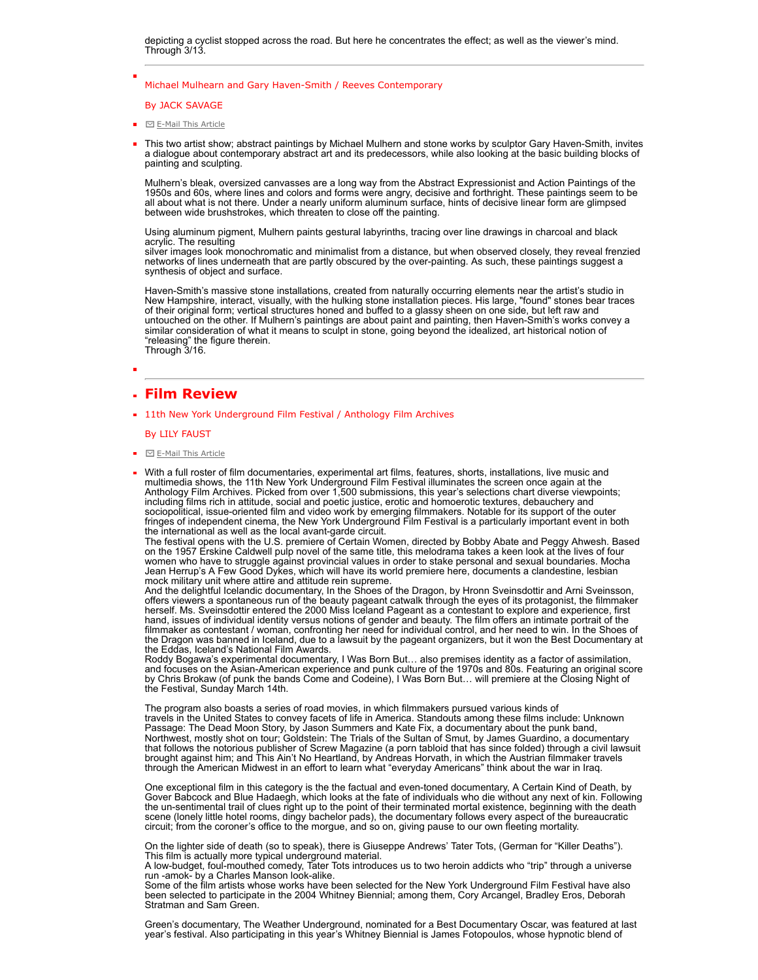depicting a cyclist stopped across the road. But here he concentrates the effect; as well as the viewer's mind. Through 3/13.

## Michael Mulhearn and Gary Haven-Smith / Reeves Contemporary

By JACK SAVAGE

- $\blacksquare$   $\blacksquare$   $\blacksquare$   $\blacksquare$   $\blacksquare$   $\blacksquare$   $\blacksquare$   $\blacksquare$   $\blacksquare$   $\blacksquare$   $\blacksquare$   $\blacksquare$   $\blacksquare$   $\blacksquare$   $\blacksquare$
- This two artist show; abstract paintings by Michael Mulhern and stone works by sculptor Gary Haven-Smith, invites a dialogue about contemporary abstract art and its predecessors, while also looking at the basic building blocks of painting and sculpting.

Mulhern's bleak, oversized canvasses are a long way from the Abstract Expressionist and Action Paintings of the 1950s and 60s, where lines and colors and forms were angry, decisive and forthright. These paintings seem to be all about what is not there. Under a nearly uniform aluminum surface, hints of decisive linear form are glimpsed between wide brushstrokes, which threaten to close off the painting.

Using aluminum pigment, Mulhern paints gestural labyrinths, tracing over line drawings in charcoal and black acrylic. The resulting

silver images look monochromatic and minimalist from a distance, but when observed closely, they reveal frenzied networks of lines underneath that are partly obscured by the over-painting. As such, these paintings suggest a synthesis of object and surface.

Haven-Smith's massive stone installations, created from naturally occurring elements near the artist's studio in New Hampshire, interact, visually, with the hulking stone installation pieces. His large, "found" stones bear traces of their original form; vertical structures honed and buffed to a glassy sheen on one side, but left raw and<br>untouched on the other. If Mulhern's paintings are about paint and painting, then Haven-Smith's works convey a<br>si "releasing" the figure therein. Through 3/16.

## **Film Review**

**11th New York Underground Film Festival / Anthology Film Archives** 

## By LILY FAUST

- $\blacksquare$   $\blacksquare$  [E-Mail This Article](http://themmag.com/forms/send_article.php?article_title=March%20article)
- With a full roster of film documentaries, experimental art films, features, shorts, installations, live music and multimedia shows, the 11th New York Underground Film Festival illuminates the screen once again at the Anthology Film Archives. Picked from over 1,500 submissions, this year's selections chart diverse viewpoints; including films rich in attitude, social and poetic justice, erotic and homoerotic textures, debauchery and sociopolitical, issue-oriented film and video work by emerging filmmakers. Notable for its support of the outer fringes of independent cinema, the New York Underground Film Festival is a particularly important event in both

the international as well as the local avant-garde circuit. The festival opens with the U.S. premiere of Certain Women, directed by Bobby Abate and Peggy Ahwesh. Based on the 1957 Erskine Caldwell pulp novel of the same title, this melodrama takes a keen look at the lives of four women who have to struggle against provincial values in order to stake personal and sexual boundaries. Mocha Jean Herrup's A Few Good Dykes, which will have its world premiere here, documents a clandestine, lesbian mock military unit where attire and attitude rein supreme.

And the delightful Icelandic documentary, In the Shoes of the Dragon, by Hronn Sveinsdottir and Arni Sveinsson, offers viewers a spontaneous run of the beauty pageant catwalk through the eyes of its protagonist, the filmmaker<br>herself. Ms. Sveinsdottir entered the 2000 Miss Iceland Pageant as a contestant to explore and experience, f hand, issues of individual identity versus notions of gender and beauty. The film offers an intimate portrait of the filmmaker as contestant / woman, confronting her need for individual control, and her need to win. In the Shoes of the Dragon was banned in Iceland, due to a lawsuit by the pageant organizers, but it won the Best Documentary at the Eddas, Iceland's National Film Awards.

Roddy Bogawa's experimental documentary, I Was Born But… also premises identity as a factor of assimilation, and focuses on the Asian-American experience and punk culture of the 1970s and 80s. Featuring an original score by Chris Brokaw (of punk the bands Come and Codeine), I Was Born But… will premiere at the Closing Night of the Festival, Sunday March 14th.

The program also boasts a series of road movies, in which filmmakers pursued various kinds of travels in the United States to convey facets of life in America. Standouts among these films include: Unknown Passage: The Dead Moon Story, by Jason Summers and Kate Fix, a documentary about the punk band, Northwest, mostly shot on tour; Goldstein: The Trials of the Sultan of Smut, by James Guardino, a documentary that follows the notorious publisher of Screw Magazine (a porn tabloid that has since folded) through a civil lawsuit<br>brought against him; and This Ain't No Heartland, by Andreas Horvath, in which the Austrian filmmaker tr through the American Midwest in an effort to learn what "everyday Americans" think about the war in Iraq.

One exceptional film in this category is the the factual and even-toned documentary, A Certain Kind of Death, by<br>Gover Babcock and Blue Hadaegh, which looks at the fate of individuals who die without any next of kin. Follo scene (lonely little hotel rooms, dingy bachelor pads), the documentary follows every aspect of the bureaucratic circuit; from the coroner's office to the morgue, and so on, giving pause to our own fleeting mortality.

On the lighter side of death (so to speak), there is Giuseppe Andrews' Tater Tots, (German for "Killer Deaths"). This film is actually more typical underground material. A low-budget, foul-mouthed comedy, Tater Tots introduces us to two heroin addicts who "trip" through a universe

run -amok- by a Charles Manson look-alike.

Some of the film artists whose works have been selected for the New York Underground Film Festival have also been selected to participate in the 2004 Whitney Biennial; among them, Cory Arcangel, Bradley Eros, Deborah Stratman and Sam Green.

Green's documentary, The Weather Underground, nominated for a Best Documentary Oscar, was featured at last year's festival. Also participating in this year's Whitney Biennial is James Fotopoulos, whose hypnotic blend of